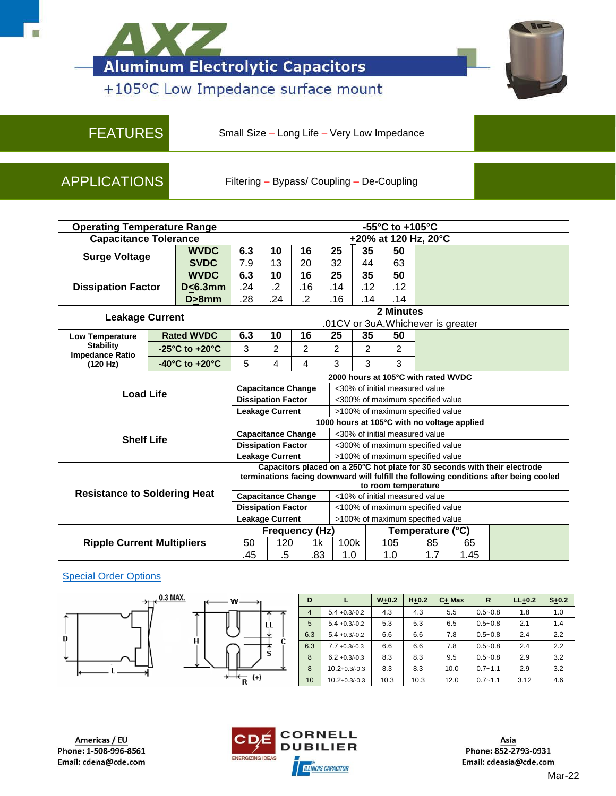



## +105°C Low Impedance surface mount

FEATURES Small Size – Long Life – Very Low Impedance

APPLICATIONS Filtering – Bypass/ Coupling – De-Coupling

| <b>Operating Temperature Range</b>                                     |  |                                             | $-55^{\circ}$ C to $+105^{\circ}$ C                        |                                                                                                                                                                     |                |      |                                  |                |                  |                                  |      |  |
|------------------------------------------------------------------------|--|---------------------------------------------|------------------------------------------------------------|---------------------------------------------------------------------------------------------------------------------------------------------------------------------|----------------|------|----------------------------------|----------------|------------------|----------------------------------|------|--|
| <b>Capacitance Tolerance</b>                                           |  |                                             | +20% at 120 Hz, 20°C                                       |                                                                                                                                                                     |                |      |                                  |                |                  |                                  |      |  |
| <b>Surge Voltage</b>                                                   |  | <b>WVDC</b>                                 | 6.3                                                        | 10                                                                                                                                                                  | 16             | 25   |                                  | 35             | 50               |                                  |      |  |
|                                                                        |  | <b>SVDC</b>                                 | 7.9                                                        | 13                                                                                                                                                                  | 20             | 32   |                                  | 44             | 63               |                                  |      |  |
| <b>WVDC</b><br><b>Dissipation Factor</b><br>$D < 6.3$ mm<br>$D > 8$ mm |  | 6.3                                         | 10                                                         | 16                                                                                                                                                                  | 25             |      | 35                               | 50             |                  |                                  |      |  |
|                                                                        |  |                                             | .24                                                        | $\overline{2}$                                                                                                                                                      | .16            | .14  |                                  | .12            | .12              |                                  |      |  |
|                                                                        |  |                                             | .28                                                        | .24                                                                                                                                                                 | $\overline{2}$ | .16  |                                  | .14            | .14              |                                  |      |  |
|                                                                        |  |                                             | 2 Minutes                                                  |                                                                                                                                                                     |                |      |                                  |                |                  |                                  |      |  |
| <b>Leakage Current</b>                                                 |  |                                             | .01CV or 3uA, Whichever is greater                         |                                                                                                                                                                     |                |      |                                  |                |                  |                                  |      |  |
| <b>Low Temperature</b>                                                 |  | <b>Rated WVDC</b>                           | 6.3                                                        | 10                                                                                                                                                                  | 16             | 25   |                                  | 35             | 50               |                                  |      |  |
| <b>Stability</b><br><b>Impedance Ratio</b>                             |  | $-25^{\circ}$ C to $+20^{\circ}$ C          | 3                                                          | $\overline{c}$                                                                                                                                                      | 2              | 2    |                                  | $\overline{2}$ | 2                |                                  |      |  |
| (120 Hz)                                                               |  | $-40^{\circ}$ C to $+20^{\circ}$ C          | 5                                                          | 4                                                                                                                                                                   | $\overline{4}$ | 3    |                                  | 3              | 3                |                                  |      |  |
|                                                                        |  |                                             | 2000 hours at 105°C with rated WVDC                        |                                                                                                                                                                     |                |      |                                  |                |                  |                                  |      |  |
| <b>Load Life</b>                                                       |  |                                             | <b>Capacitance Change</b>                                  |                                                                                                                                                                     |                |      | <30% of initial measured value   |                |                  |                                  |      |  |
|                                                                        |  |                                             | <b>Dissipation Factor</b>                                  |                                                                                                                                                                     |                |      |                                  |                |                  | <300% of maximum specified value |      |  |
|                                                                        |  |                                             | <b>Leakage Current</b><br>>100% of maximum specified value |                                                                                                                                                                     |                |      |                                  |                |                  |                                  |      |  |
|                                                                        |  | 1000 hours at 105°C with no voltage applied |                                                            |                                                                                                                                                                     |                |      |                                  |                |                  |                                  |      |  |
| <b>Shelf Life</b>                                                      |  |                                             | <b>Capacitance Change</b>                                  |                                                                                                                                                                     |                |      | <30% of initial measured value   |                |                  |                                  |      |  |
|                                                                        |  |                                             | <b>Dissipation Factor</b>                                  |                                                                                                                                                                     |                |      | <300% of maximum specified value |                |                  |                                  |      |  |
|                                                                        |  |                                             | <b>Leakage Current</b><br>>100% of maximum specified value |                                                                                                                                                                     |                |      |                                  |                |                  |                                  |      |  |
|                                                                        |  |                                             |                                                            | Capacitors placed on a 250°C hot plate for 30 seconds with their electrode<br>terminations facing downward will fulfill the following conditions after being cooled |                |      |                                  |                |                  |                                  |      |  |
|                                                                        |  | to room temperature                         |                                                            |                                                                                                                                                                     |                |      |                                  |                |                  |                                  |      |  |
| <b>Resistance to Soldering Heat</b>                                    |  |                                             | <b>Capacitance Change</b>                                  |                                                                                                                                                                     |                |      | <10% of initial measured value   |                |                  |                                  |      |  |
|                                                                        |  |                                             | <b>Dissipation Factor</b>                                  |                                                                                                                                                                     |                |      | <100% of maximum specified value |                |                  |                                  |      |  |
|                                                                        |  |                                             | <b>Leakage Current</b>                                     |                                                                                                                                                                     |                |      | >100% of maximum specified value |                |                  |                                  |      |  |
| <b>Ripple Current Multipliers</b>                                      |  | <b>Frequency (Hz)</b>                       |                                                            |                                                                                                                                                                     |                |      |                                  |                | Temperature (°C) |                                  |      |  |
|                                                                        |  | 50                                          | 120                                                        |                                                                                                                                                                     | 1k             | 100k |                                  | 105            | 85               | 65                               |      |  |
|                                                                        |  |                                             | .45                                                        | $.5\,$                                                                                                                                                              |                | .83  | 1.0                              |                | 1.0              | 1.7                              | 1.45 |  |

## [Special Order Options](http://www.cde.com/resources/catalogs/Order-Options/SMD_Taping_Codes.pdf)





Ĥ

| D              |                     | $W + 0.2$ | $H+0.2$ | $C+$ Max | R           | $LL+0.2$ | $S + 0.2$ |
|----------------|---------------------|-----------|---------|----------|-------------|----------|-----------|
| $\overline{4}$ | $5.4 + 0.3/-0.2$    | 4.3       | 4.3     | 5.5      | $0.5 - 0.8$ | 1.8      | 1.0       |
| 5              | $5.4 + 0.3/-0.2$    | 5.3       | 5.3     | 6.5      | $0.5 - 0.8$ | 2.1      | 1.4       |
| 6.3            | $5.4 + 0.3/-0.2$    | 6.6       | 6.6     | 7.8      | $0.5 - 0.8$ | 2.4      | 2.2       |
| 6.3            | $7.7 + 0.3/-0.3$    | 6.6       | 6.6     | 7.8      | $0.5 - 0.8$ | 2.4      | 2.2       |
| 8              | $6.2 + 0.3/-0.3$    | 8.3       | 8.3     | 9.5      | $0.5 - 0.8$ | 2.9      | 3.2       |
| 8              | $10.2 + 0.3 / -0.3$ | 8.3       | 8.3     | 10.0     | $0.7 - 1.1$ | 2.9      | 3.2       |
| 10             | $10.2 + 0.3 / -0.3$ | 10.3      | 10.3    | 12.0     | $0.7 - 1.1$ | 3.12     | 4.6       |



Asia Phone: 852-2793-0931 Email: cdeasia@cde.com